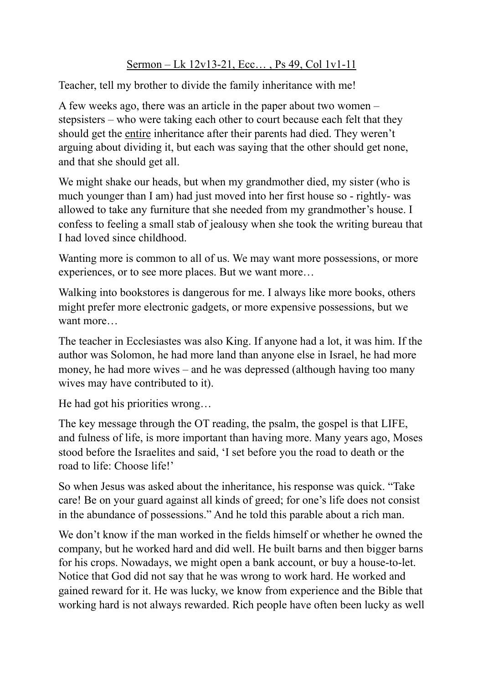## Sermon – Lk 12v13-21, Ecc… , Ps 49, Col 1v1-11

Teacher, tell my brother to divide the family inheritance with me!

A few weeks ago, there was an article in the paper about two women – stepsisters – who were taking each other to court because each felt that they should get the entire inheritance after their parents had died. They weren't arguing about dividing it, but each was saying that the other should get none, and that she should get all.

We might shake our heads, but when my grandmother died, my sister (who is much younger than I am) had just moved into her first house so - rightly- was allowed to take any furniture that she needed from my grandmother's house. I confess to feeling a small stab of jealousy when she took the writing bureau that I had loved since childhood.

Wanting more is common to all of us. We may want more possessions, or more experiences, or to see more places. But we want more…

Walking into bookstores is dangerous for me. I always like more books, others might prefer more electronic gadgets, or more expensive possessions, but we want more…

The teacher in Ecclesiastes was also King. If anyone had a lot, it was him. If the author was Solomon, he had more land than anyone else in Israel, he had more money, he had more wives – and he was depressed (although having too many wives may have contributed to it).

He had got his priorities wrong…

The key message through the OT reading, the psalm, the gospel is that LIFE, and fulness of life, is more important than having more. Many years ago, Moses stood before the Israelites and said, 'I set before you the road to death or the road to life: Choose life!'

So when Jesus was asked about the inheritance, his response was quick. "Take care! Be on your guard against all kinds of greed; for one's life does not consist in the abundance of possessions." And he told this parable about a rich man.

We don't know if the man worked in the fields himself or whether he owned the company, but he worked hard and did well. He built barns and then bigger barns for his crops. Nowadays, we might open a bank account, or buy a house-to-let. Notice that God did not say that he was wrong to work hard. He worked and gained reward for it. He was lucky, we know from experience and the Bible that working hard is not always rewarded. Rich people have often been lucky as well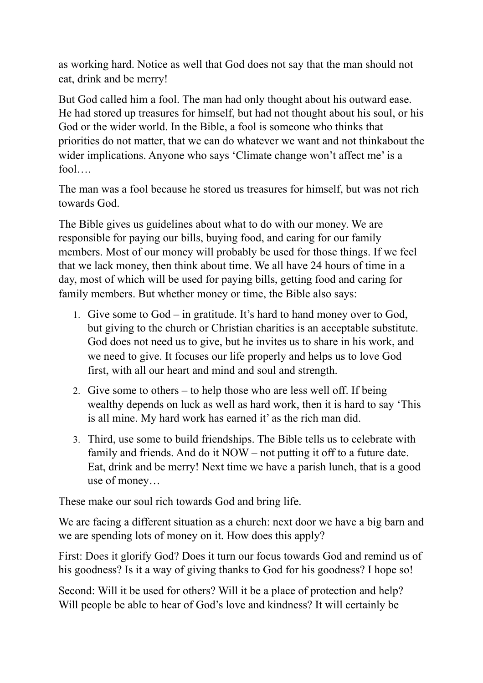as working hard. Notice as well that God does not say that the man should not eat, drink and be merry!

But God called him a fool. The man had only thought about his outward ease. He had stored up treasures for himself, but had not thought about his soul, or his God or the wider world. In the Bible, a fool is someone who thinks that priorities do not matter, that we can do whatever we want and not thinkabout the wider implications. Anyone who says 'Climate change won't affect me' is a fool

The man was a fool because he stored us treasures for himself, but was not rich towards God.

The Bible gives us guidelines about what to do with our money. We are responsible for paying our bills, buying food, and caring for our family members. Most of our money will probably be used for those things. If we feel that we lack money, then think about time. We all have 24 hours of time in a day, most of which will be used for paying bills, getting food and caring for family members. But whether money or time, the Bible also says:

- 1. Give some to God in gratitude. It's hard to hand money over to God, but giving to the church or Christian charities is an acceptable substitute. God does not need us to give, but he invites us to share in his work, and we need to give. It focuses our life properly and helps us to love God first, with all our heart and mind and soul and strength.
- 2. Give some to others to help those who are less well off. If being wealthy depends on luck as well as hard work, then it is hard to say 'This is all mine. My hard work has earned it' as the rich man did.
- 3. Third, use some to build friendships. The Bible tells us to celebrate with family and friends. And do it NOW – not putting it off to a future date. Eat, drink and be merry! Next time we have a parish lunch, that is a good use of money…

These make our soul rich towards God and bring life.

We are facing a different situation as a church: next door we have a big barn and we are spending lots of money on it. How does this apply?

First: Does it glorify God? Does it turn our focus towards God and remind us of his goodness? Is it a way of giving thanks to God for his goodness? I hope so!

Second: Will it be used for others? Will it be a place of protection and help? Will people be able to hear of God's love and kindness? It will certainly be